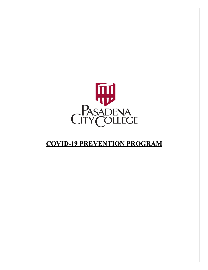

# **COVID-19 PREVENTION PROGRAM**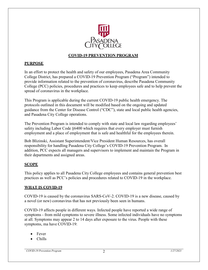

#### **COVID-19 PREVENTION PROGRAM**

## **PURPOSE**

In an effort to protect the health and safety of our employees, Pasadena Area Community College District, has prepared a COVID-19 Prevention Program ("Program") intended to provide information related to the prevention of coronavirus, describe Pasadena Community College (PCC) policies, procedures and practices to keep employees safe and to help prevent the spread of coronavirus in the workplace.

This Program is applicable during the current COVID-19 public health emergency. The protocols outlined in this document will be modified based on the ongoing and updated guidance from the Center for Disease Control ("CDC"), state and local public health agencies, and Pasadena City College operations.

The Prevention Program is intended to comply with state and local law regarding employees' safety including Labor Code §6400 which requires that every employer must furnish employment and a place of employment that is safe and healthful for the employees therein.

Bob Blizinski, Assistant Superintendent/Vice President Human Resources, has overall responsibility for handling Pasadena City College's COVID-19 Prevention Program. In addition, PCC expects all managers and supervisors to implement and maintain the Program in their departments and assigned areas.

## **SCOPE**

This policy applies to all Pasadena City College employees and contains general prevention best practices as well as PCC's policies and procedures related to COVID-19 in the workplace.

## **WHAT IS COVID-19**

COVID-19 is caused by the coronavirus SARS-CoV-2. COVID-19 is a new disease, caused by a novel (or new) coronavirus that has not previously been seen in humans.

COVID-19 affects people in different ways. Infected people have reported a wide range of symptoms - from mild symptoms to severe illness. Some infected individuals have no symptoms at all. Symptoms may appear 2 to 14 days after exposure to the virus. People with these symptoms, ma have COVID-19:

- Fever
- Chills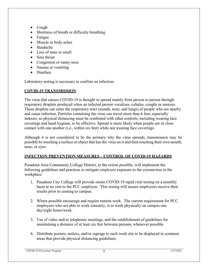- Cough
- Shortness of breath or difficulty breathing
- Fatigue
- Muscle or body aches
- Headache
- Loss of taste or smell
- Sore throat
- Congestion or runny nose
- Nausea or vomiting
- Diarrhea

Laboratory testing is necessary to confirm an infection.

# **COVID-19 TRANSMISSION**

The virus that causes COVID-19 is thought to spread mainly from person to person through respiratory droplets produced when an infected person vocalizes, exhales, coughs or sneezes. These droplets can enter the respiratory tract (mouth, nose, and lungs) of people who are nearby and cause infection. Particles containing the virus can travel more than 6 feet, especially indoors, so physical distancing must be combined with other controls, including wearing face coverings and hand hygiene, to be effective. Spread is more likely when people are in close contact with one another (i.e., within six feet) while not wearing face coverings.

Although it is not considered to be the primary why the virus spreads, transmission may be possible by touching a surface or object that has the virus on it and then touching their own mouth, nose, or eyes.

## **INFECTION PREVENTION MEASURES – CONTROL OF COVID-19 HAZARDS**

Pasadena Area Community College District, to the extent possible, will implement the following guidelines and practices to mitigate employee exposure to the coronavirus in the workplace:

- 1. Pasadena City College will provide onsite COVID-19 rapid viral testing on a monthly basis at no cost to the PCC employee. This testing will ensure employees receive their results prior to coming to campus.
- 2. Where possible encourage and require remote work. The current requirement for PCC employees who are able to work remotely, is to work physically on campus one day/eight hours/week.
- 3. Use of video and/or telephonic meetings, and the establishment of guidelines for maintaining a distance of at least six feet between persons, whenever possible.
- 4. Distribute posters, notices, and/or signage to each work site to be displayed in common areas that provide physical distancing guidelines.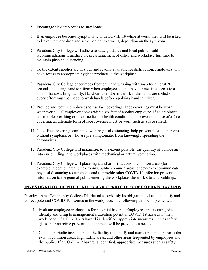- 5. Encourage sick employees to stay home.
- 6. If an employee becomes symptomatic with COVID-19 while at work, they will be asked to leave the workplace and seek medical treatment, depending on the symptoms.
- 7. Pasadena City College will adhere to state guidance and local public health recommendations regarding the prearrangement of office and workplace furniture to maintain physical distancing.
- 8. To the extent supplies are in stock and readily available for distribution, employees will have access to appropriate hygiene products in the workplace.
- 9. Pasadena City College encourages frequent hand washing with soap for at least 20 seconds and using hand sanitizer when employees do not have immediate access to a sink or handwashing facility. Hand sanitizer doesn't work if the hands are soiled so every effort must be made to wash hands before applying hand sanitizer.
- 10. Provide and require employees to use face coverings. Face coverings must be worn whenever a PCC employee comes within six feet of another employee. If an employee has trouble breathing or has a medical or health condition that prevents the use of a face covering, an alternate form of face covering must be worn such as a face shield.
- 11. Note: Face coverings combined with physical distancing, help prevent infected persons without symptoms or who are pre-symptomatic from knowingly spreading the coronavirus.
- 12. Pasadena City College will maximize, to the extent possible, the quantity of outside air into our buildings and workplaces with mechanical or natural ventilation.
- 13. Pasadena City College will place signs and/or instructions in common areas (for example, reception area, break rooms, public common areas, et cetera) to communicate physical distancing requirements and to provide other COVID-19 infection prevention information to the general public entering the workplace, the work site and buildings.

## **INVESTIGATION, IDENTIFICATION AND CORRECTION OF COVID-19 HAZARDS**

Pasadena Area Community College District takes seriously its obligation to locate, identify and correct potential COVID-19 hazards in the workplace. The following will be implemented:

- 1. Evaluate employee workspaces for potential hazards. Employees are encouraged to identify and bring to management's attention potential COVID-19 hazards in their workspace. If a COVID-19 hazard is identified, appropriate measures such as safety glass and protective prevention equipment will be provided as needed.
- 2. Conduct periodic inspections of the facility to identify and correct potential hazards that exist in common areas, high traffic areas, and other areas frequented by employees and the public. If a COVID-19 hazard is identified, appropriate measures such as safety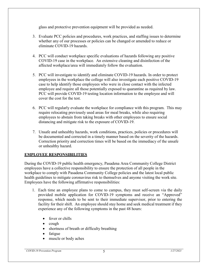glass and protective prevention equipment will be provided as needed.

- 3. Evaluate PCC policies and procedures, work practices, and staffing issues to determine whether any of our processes or policies can be changed or amended to reduce or eliminate COVID-19 hazards.
- 4. PCC will conduct workplace specific evaluations of hazards following any positive COVID-19 case in the workplace. An extensive cleaning and disinfection of the affected workplace/area will immediately follow the evaluation.
- 5. PCC will investigate to identify and eliminate COVID-19 hazards. In order to protect employees in the workplace the college will also investigate each positive COVID-19 case to help identify those employees who were in close contact with the infected employee and require all those potentially exposed to quarantine as required by law. PCC will provide COVID-19 testing location information to the employee and will cover the cost for the test.
- 6. PCC will regularly evaluate the workplace for compliance with this program. This may require relocating previously used areas for meal breaks, while also requiring employees to abstain from taking breaks with other employees to ensure social distancing and mitigate risk to the exposure of COVID-19.
- 7. Unsafe and unhealthy hazards, work conditions, practices, policies or procedures will be documented and corrected in a timely manner based on the severity of the hazards. Correction priority and correction times will be based on the immediacy of the unsafe or unhealthy hazard.

## **EMPLOYEE RESPONSIBILITIES**

During the COVID-19 public health emergency, Pasadena Area Community College District employees have a collective responsibility to ensure the protection of all people in the workplace to comply with Pasadena Community College policies and the latest local public health guidelines to mitigate coronavirus risk to themselves and anyone visiting the work site. Employees have the following affirmative responsibilities:

- 1. Each time an employee plans to come to campus, they must self-screen via the daily provided mobile application for COVID-19 symptoms and receive an "Approved" response, which needs to be sent to their immediate supervisor, prior to entering the facility for their shift. An employee should stay home and seek medical treatment if they experience any of the following symptoms in the past 48 hours:
	- fever or chills
	- cough
	- shortness of breath or difficulty breathing
	- fatigue
	- muscle or body aches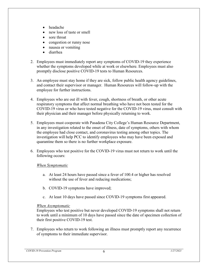- headache
- new loss of taste or smell
- sore throat
- congestion or runny nose
- nausea or vomiting
- diarrhea
- 2. Employees must immediately report any symptoms of COVID-19 they experience whether the symptoms developed while at work or elsewhere. Employees must also promptly disclose positive COVID-19 tests to Human Resources.
- 3. An employee must stay home if they are sick, follow public health agency guidelines, and contact their supervisor or manager. Human Resources will follow-up with the employee for further instructions.
- 4. Employees who are out ill with fever, cough, shortness of breath, or other acute respiratory symptoms that affect normal breathing who have not been tested for the COVID-19 virus or who have tested negative for the COVID-19 virus, must consult with their physician and their manager before physically returning to work.
- 5. Employees must cooperate with Pasadena City College's Human Resource Department, in any investigation related to the onset of illness, date of symptoms, others with whom the employee had close contact, and coronavirus testing among other topics. The investigation will help PCC to identify employees who may have been exposed and quarantine them so there is no further workplace exposure.
- 6. Employees who test positive for the COVID-19 virus must not return to work until the following occurs:

#### *When Symptomatic*

- a. At least 24 hours have passed since a fever of 100.4 or higher has resolved without the use of fever and reducing medications;
- b. COVID-19 symptoms have improved;
- c. At least 10 days have passed since COVID-19 symptoms first appeared.

#### *When Asymptomatic*

Employees who test positive but never developed COVID-19 symptoms shall not return to work until a minimum of 10 days have passed since the date of specimen collection of their first positive COVID-19 test.

7. Employees who return to work following an illness must promptly report any recurrence of symptoms to their immediate supervisor.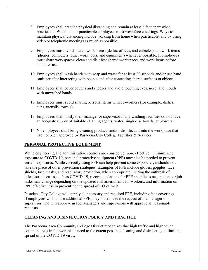- 8. Employees shall practice physical distancing and remain at least 6 feet apart when practicable. When it isn't practicable employees must wear face coverings. Ways to maintain physical distancing include working from home when practicable, and by using video or telephonic meetings as much as possible.
- 9. Employees must avoid shared workspaces (desks, offices, and cubicles) and work items (phones, computers, other work tools, and equipment) whenever possible. If employees must share workspaces, clean and disinfect shared workspaces and work items before and after use.
- 10. Employees shall wash hands with soap and water for at least 20 seconds and/or use hand sanitizer after interacting with people and after contacting shared surfaces or objects.
- 11. Employees shall cover coughs and sneezes and avoid touching eyes, nose, and mouth with unwashed hands.
- 12. Employees must avoid sharing personal items with co-workers (for example, dishes, cups, utensils, towels).
- 13. Employees shall notify their manager or supervisor if any washing facilities do not have an adequate supply of suitable cleaning agents, water, single-use towels, or blowers.
- 14. No employees shall bring cleaning products and/or disinfectant into the workplace that had not been approved by Pasadena City College Facilities & Services.

# **PERSONAL PROTECTIVE EQUIPMENT**

While engineering and administrative controls are considered more effective in minimizing exposure to COVID-19, personal protective equipment (PPE) may also be needed to prevent certain exposures. While correctly using PPE can help prevent some exposures, it should not take the place of other prevention strategies. Examples of PPE include gloves, goggles, face shields, face masks, and respiratory protection, when appropriate. During the outbreak of infectious diseases, such as COVID-19, recommendations for PPE specific to occupations or job tasks may change depending on the updated risk assessments for workers, and information on PPE effectiveness in preventing the spread of COVID-19.

Pasadena City College will supply all necessary and required PPE, including face coverings. If employees wish to use additional PPE, they must make the request of the manager or supervisor who will approve usage. Managers and supervisors will approve all reasonable requests.

## **CLEANING AND DISINFECTION POLICY AND PRACTICE**

The Pasadena Area Community College District recognizes that high traffic and high touch common areas in the workplace need to the extent possible cleaning and disinfecting to limit the spread of the COVID-19 virus.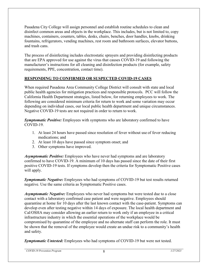Pasadena City College will assign personnel and establish routine schedules to clean and disinfect common areas and objects in the workplace. This includes, but is not limited to, copy machines, containers, counters, tables, desks, chairs, benches, door handles, knobs, drinking fountains, refrigerators, vending machines, rest room and bathroom surfaces, elevator buttons, and trash cans.

The process of disinfecting includes electrostatic sprayers and providing disinfecting products that are EPA approved for use against the virus that causes COVID-19 and following the manufacturer's instructions for all cleaning and disinfection products (for example, safety requirements, PPE, concentration, contact time).

## **RESPONDING TO CONFIRMED OR SUSPECTED COVID-19 CASES**

When required Pasadena Area Community College District will consult with state and local public health agencies for mitigation practices and responsible protocols. PCC will follow the California Health Department strategies, listed below, for returning employees to work. The following are considered minimum criteria for return to work and some variation may occur depending on individual cases, our local public health department and unique circumstances. Negative COVID-19 tests are not required in order to return to work.

*Symptomatic Positive:* Employees with symptoms who are laboratory confirmed to have COVID-19.

- 1. At least 24 hours have passed since resolution of fever without use of fever reducing medications; and
- 2. At least 10 days have passed since symptom onset; and
- 3. Other symptoms have improved.

*Asymptomatic Positive:* Employees who have never had symptoms and are laboratory confirmed to have COVID-19. A minimum of 10 days has passed since the date of their first positive COVID-19 tests. If symptoms develop then the criteria for Symptomatic Positive cases will apply.

*Symptomatic Negative:* Employees who had symptoms of COVID-19 but test results returned negative. Use the same criteria as Symptomatic Positive cases.

*Asymptomatic Negative:* Employees who never had symptoms but were tested due to a close contact with a laboratory confirmed case patient and were negative. Employees should quarantine at home for 10 days after the last known contact with the case-patient. Symptoms can develop even after testing negative within 14 days of exposure. The local health department and Cal/OSHA may consider allowing an earlier return to work only if an employee in a critical infrastructure industry in which the essential operations of the workplace would be compromised by quarantine of the employee and no alternate staff can perform the role. It must be shown that the removal of the employee would create an undue risk to a community's health and safety.

*Symptomatic Untested:* Employees who had symptoms of COVID-19 but were not tested.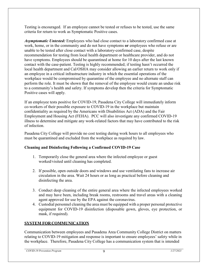Testing is encouraged. If an employee cannot be tested or refuses to be tested, use the same criteria for return to work as Symptomatic Positive cases.

*Asymptomatic Untested:* Employees who had close contact to a laboratory confirmed case at work, home, or in the community and do not have symptoms **or** employees who refuse or are unable to be tested after close contact with a laboratory-confirmed case, despite recommendation for testing from local health department or healthcare provider, and do not have symptoms. Employees should be quarantined at home for 10 days after the last known contact with the case-patient. Testing is highly recommended; if testing hasn't occurred the local health department and Cal/OSHA may consider allowing an earlier return to work only if an employee in a critical infrastructure industry in which the essential operations of the workplace would be compromised by quarantine of the employee and no alternate staff can perform the role. It must be shown that the removal of the employee would create an undue risk to a community's health and safety. If symptoms develop then the criteria for Symptomatic Positive cases will apply.

If an employee tests positive for COVID-19, Pasadena City College will immediately inform co-workers of their possible exposure to COVID-19 in the workplace but maintain confidentiality as required by the Americans with Disabilities Act (ADA) and the Fair Employment and Housing Act (FEHA). PCC will also investigate any confirmed COVID-19 illness to determine and mitigate any work-related factors that may have contributed to the risk of infection.

Pasadena City College will provide no cost testing during work hours to all employees who must be quarantined and excluded from the workplace as required by law.

## **Cleaning and Disinfecting Following a Confirmed COVID-19 Case**

- 1. Temporarily close the general area where the infected employee or guest worked/visited until cleaning has completed.
- 2. If possible, open outside doors and windows and use ventilating fans to increase air circulation in the area. Wait 24 hours or as long as practical before cleaning and disinfecting the area.
- 3. Conduct deep cleaning of the entire general area where the infected employees worked and may have been, including break rooms, restrooms and travel areas with a cleaning agent approved for use by the EPA against the coronavirus.
- 4. Custodial personnel cleaning the area must be equipped with a proper personal protective equipment for COVID-19 disinfection (disposable gown, gloves, eye protection, or mask, if required).

# **SYSTEM FOR COMMUNICATION**

Communication between employees and Pasadena Area Community College District on matters relating to COVID-19 mitigation and response is important to ensure employees' safety while in the workplace. Therefore, Pasadena City College has a communication system that is intended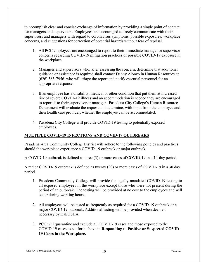to accomplish clear and concise exchange of information by providing a single point of contact for managers and supervisors. Employees are encouraged to freely communicate with their supervisors and managers with regard to coronavirus symptoms, possible exposures, workplace concerns, and suggestions for correction of potential hazards without fear of reprisal.

- 1. All PCC employees are encouraged to report to their immediate manager or supervisor concerns regarding COVID-19 mitigation practices or possible COVID-19 exposure in the workplace.
- 2. Managers and supervisors who, after assessing the concern, determine that additional guidance or assistance is required shall contact Danny Alonzo in Human Resources at (626) 585-7956. who will triage the report and notify essential personnel for an appropriate response.
- 3. If an employee has a disability, medical or other condition that put them at increased risk of severe COVID-19 illness and an accommodation is needed they are encouraged to report it to their supervisor or manager. Pasadena City College's Human Resource Department will evaluate the request and determine, with input from the employee and their health care provider, whether the employee can be accommodated.
- 4. Pasadena City College will provide COVID-19 testing to potentially exposed employees.

# **MULTIPLE COVID-19 INFECTIONS AND COVID-19 OUTBREAKS**

Pasadena Area Community College District will adhere to the following policies and practices should the workplace experience a COVID-19 outbreak or major outbreak.

A COVID-19 outbreak is defined as three (3) or more cases of COVID-19 in a 14-day period.

A major COVID-19 outbreak is defined as twenty (20) or more cases of COVID-19 in a 30 day period.

- 1. Pasadena Community College will provide the legally mandated COVID-19 testing to all exposed employees in the workplace except those who were not present during the period of an outbreak. The testing will be provided at no cost to the employees and will occur during working hours.
- 2. All employees will be tested as frequently as required for a COVID-19 outbreak or a major COVID-19 outbreak. Additional testing will be provided when deemed necessary by Cal/OSHA.
- 3. PCC will quarantine and exclude all COVID-19 cases and those exposed to the COVID-19 cases as set forth above in **Responding to Positive or Suspected COVID-19 Cases in the Workplace.**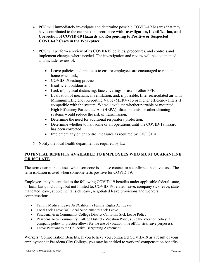- 4. PCC will immediately investigate and determine possible COVID-19 hazards that may have contributed to the outbreak in accordance with **Investigation, Identification, and Correction of COVID-19 Hazards** and **Responding to Positive or Suspected COVID-19 Cases in the Workplace.**
- 5. PCC will perform a review of its COVID-19 policies, procedures, and controls and implement changes where needed. The investigation and review will be documented and include review of:
	- Leave policies and practices to ensure employees are encouraged to remain home when sick;
	- COVID-19 testing process;
	- Insufficient outdoor air;
	- Lack of physical distancing, face coverings or use of other PPE.
	- Evaluation of mechanical ventilation, and, if possible, filter recirculated air with Minimum Efficiency Reporting Value (MERV) 13 or higher efficiency filters if compatible with the system. We will evaluate whether portable or mounted High Efficiency Particulate Air (HEPA) filtration units, or other cleaning systems would reduce the risk of transmission.
	- Determine the need for additional respiratory protection.
	- Determine whether to halt some or all operations until the COVID-19 hazard has been corrected.
	- Implement any other control measures as required by Cal/OSHA.
- 6. Notify the local health department as required by law.

# **POTENTIAL BENEFITS AVAILABLE TO EMPLOYEES WHO MUST QUARANTINE OR ISOLATE**

The term quarantine is used when someone is a close contact to a confirmed positive case. The term isolation is used when someone tests positive for COVID-19.

Employees may be entitled to the following COVID-19 benefits under applicable federal, state, or local laws, including, but not limited to, COVID-19 related leave, company sick leave, statemandated leave, supplemental sick leave, negotiated leave provisions and workers compensation:

- Family Medical Leave Act/California Family Rights Act Leave.
- Local Sick Leave [or] Local Supplemental Sick Leave.
- Pasadena Area Community College District California Sick Leave Policy
- Pasadena Area Community College District Vacation Policy (Use the vacation policy if company policy or practice allows for the use of vacation time off for sick leave purposes).
- Leave Pursuant to the Collective Bargaining Agreement.

Workers' Compensation Benefits. If you believe you contracted COVID-19 as a result of your employment at Pasadena City College, you may be entitled to workers' compensation benefits.